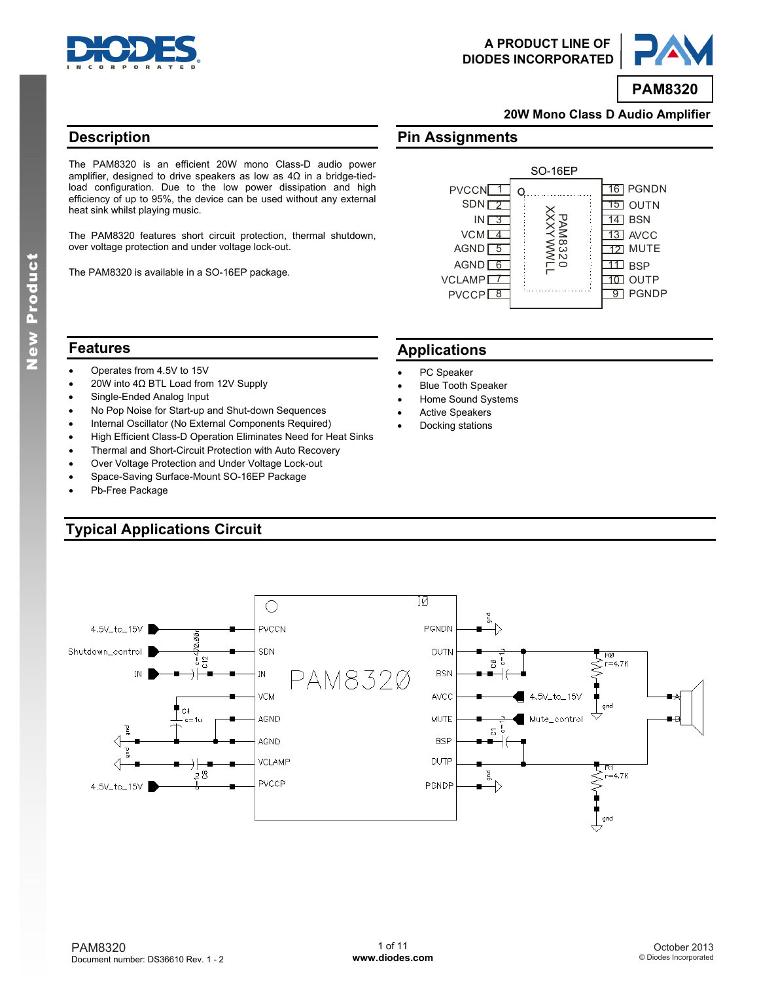



**PAM8320**

**20W Mono Class D Audio Amplifier** 

### **Description**

The PAM8320 is an efficient 20W mono Class-D audio power amplifier, designed to drive speakers as low as 4Ω in a bridge-tiedload configuration. Due to the low power dissipation and high efficiency of up to 95%, the device can be used without any external heat sink whilst playing music.

The PAM8320 features short circuit protection, thermal shutdown, over voltage protection and under voltage lock-out.

The PAM8320 is available in a SO-16EP package.

### **Features**

- Operates from 4.5V to 15V
- 20W into 4Ω BTL Load from 12V Supply
- Single-Ended Analog Input
- No Pop Noise for Start-up and Shut-down Sequences
- Internal Oscillator (No External Components Required)
- High Efficient Class-D Operation Eliminates Need for Heat Sinks
- Thermal and Short-Circuit Protection with Auto Recovery
- Over Voltage Protection and Under Voltage Lock-out
- Space-Saving Surface-Mount SO-16EP Package
- Pb-Free Package

### **Typical Applications Circuit**

# **Pin Assignments**



### **Applications**

- PC Speaker
- Blue Tooth Speaker
- Home Sound Systems
- Active Speakers
- Docking stations

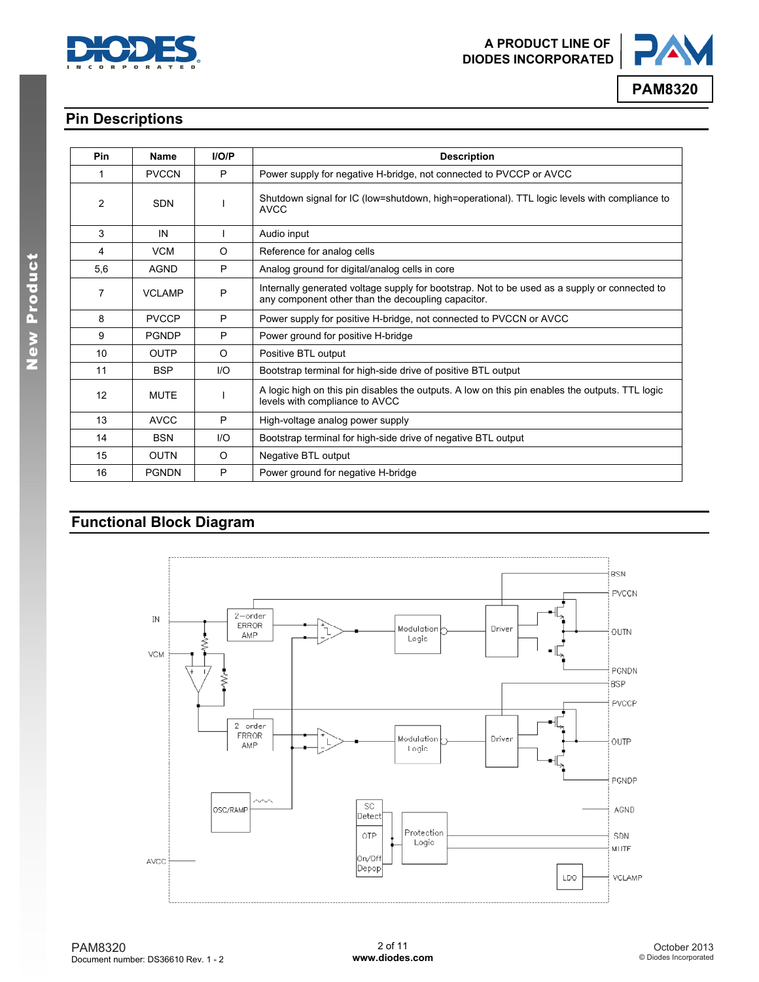



### **Pin Descriptions**

| <b>Pin</b> | Name          | I/O/P   | <b>Description</b>                                                                                                                                  |
|------------|---------------|---------|-----------------------------------------------------------------------------------------------------------------------------------------------------|
| 1          | <b>PVCCN</b>  | P       | Power supply for negative H-bridge, not connected to PVCCP or AVCC                                                                                  |
| 2          | <b>SDN</b>    |         | Shutdown signal for IC (low=shutdown, high=operational). TTL logic levels with compliance to<br><b>AVCC</b>                                         |
| 3          | IN            |         | Audio input                                                                                                                                         |
| 4          | <b>VCM</b>    | $\circ$ | Reference for analog cells                                                                                                                          |
| 5,6        | <b>AGND</b>   | P       | Analog ground for digital/analog cells in core                                                                                                      |
| 7          | <b>VCLAMP</b> | P       | Internally generated voltage supply for bootstrap. Not to be used as a supply or connected to<br>any component other than the decoupling capacitor. |
| 8          | <b>PVCCP</b>  | P       | Power supply for positive H-bridge, not connected to PVCCN or AVCC                                                                                  |
| 9          | <b>PGNDP</b>  | P       | Power ground for positive H-bridge                                                                                                                  |
| 10         | <b>OUTP</b>   | O       | Positive BTL output                                                                                                                                 |
| 11         | <b>BSP</b>    | 1/O     | Bootstrap terminal for high-side drive of positive BTL output                                                                                       |
| 12         | <b>MUTE</b>   |         | A logic high on this pin disables the outputs. A low on this pin enables the outputs. TTL logic<br>levels with compliance to AVCC                   |
| 13         | <b>AVCC</b>   | P       | High-voltage analog power supply                                                                                                                    |
| 14         | <b>BSN</b>    | 1/O     | Bootstrap terminal for high-side drive of negative BTL output                                                                                       |
| 15         | <b>OUTN</b>   | O       | Negative BTL output                                                                                                                                 |
| 16         | <b>PGNDN</b>  | P       | Power ground for negative H-bridge                                                                                                                  |

## **Functional Block Diagram**

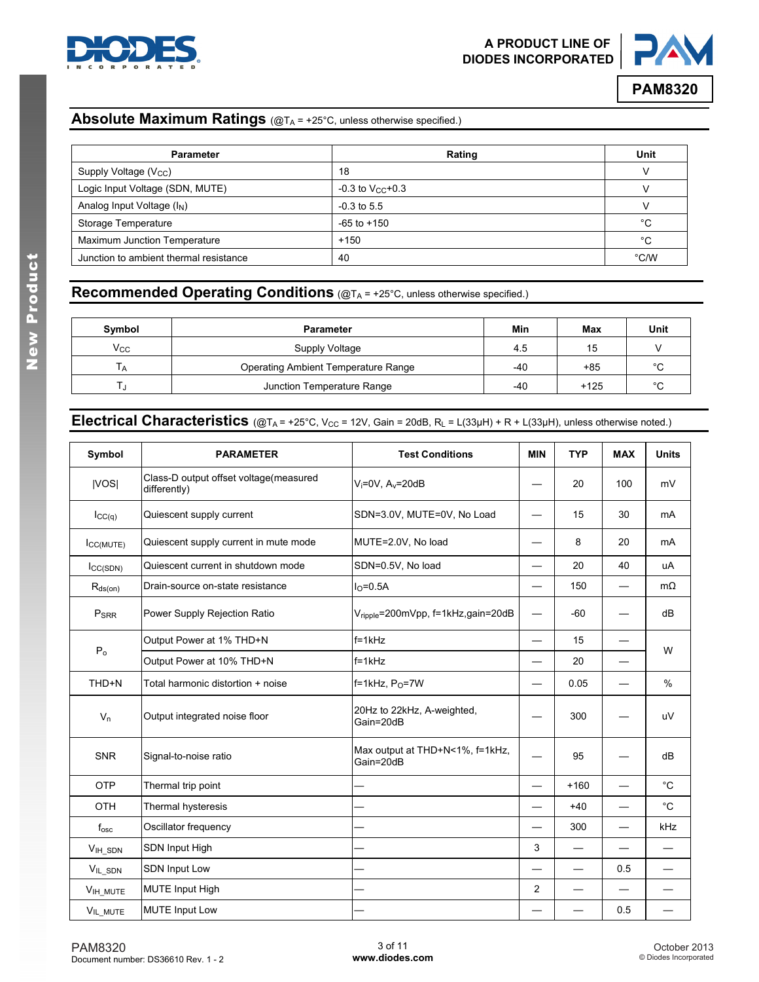



### **Absolute Maximum Ratings** (@T<sub>A</sub> = +25°C, unless otherwise specified.)

| <b>Parameter</b>                       | Rating                  | Unit |
|----------------------------------------|-------------------------|------|
| Supply Voltage (V <sub>CC</sub> )      | 18                      |      |
| Logic Input Voltage (SDN, MUTE)        | $-0.3$ to $V_{CC}$ +0.3 |      |
| Analog Input Voltage (I <sub>N</sub> ) | $-0.3$ to 5.5           |      |
| Storage Temperature                    | $-65$ to $+150$         | °C   |
| Maximum Junction Temperature           | $+150$                  | °C   |
| Junction to ambient thermal resistance | 40                      | °C/W |

### **Recommended Operating Conditions** (@TA = +25°C, unless otherwise specified.)

| Symbol       | <b>Parameter</b>                    | Min | Max    | Unit        |
|--------------|-------------------------------------|-----|--------|-------------|
| $V_{\rm CC}$ | Supply Voltage                      | 4.5 | 15     |             |
| i A          | Operating Ambient Temperature Range | -40 | +85    | °С          |
|              | Junction Temperature Range          | -40 | $+125$ | $\sim$<br>U |

### **Electrical Characteristics** (@T<sub>A</sub> = +25°C, V<sub>CC</sub> = 12V, Gain = 20dB, R<sub>L</sub> = L(33µH) + R + L(33µH), unless otherwise noted.)

| Symbol           | <b>PARAMETER</b>                                       | <b>Test Conditions</b>                       | <b>MIN</b>               | <b>TYP</b> | <b>MAX</b>               | <b>Units</b>      |
|------------------|--------------------------------------------------------|----------------------------------------------|--------------------------|------------|--------------------------|-------------------|
| VOS              | Class-D output offset voltage(measured<br>differently) | $V_i = 0V$ , $A_v = 20dB$                    |                          | 20         | 100                      | mV                |
| ICC(q)           | Quiescent supply current                               | SDN=3.0V, MUTE=0V, No Load                   |                          | 15         | 30                       | mA                |
| ICC(MUTE)        | Quiescent supply current in mute mode                  | MUTE=2.0V, No load                           |                          | 8          | 20                       | mA                |
| $I_{CC(SDN)}$    | Quiescent current in shutdown mode                     | SDN=0.5V, No load                            |                          | 20         | 40                       | uA                |
| $R_{ds(on)}$     | Drain-source on-state resistance                       | $IO=0.5A$                                    | $\overline{\phantom{0}}$ | 150        | $\overline{\phantom{0}}$ | $m\Omega$         |
| P <sub>SRR</sub> | Power Supply Rejection Ratio                           | Vripple=200mVpp, f=1kHz,gain=20dB            | $\overline{\phantom{0}}$ | $-60$      |                          | dB                |
|                  | Output Power at 1% THD+N                               | $f=1kHz$                                     |                          | 15         |                          | W                 |
| $P_0$            | Output Power at 10% THD+N                              | $f=1kHz$                                     |                          | 20         |                          |                   |
| THD+N            | Total harmonic distortion + noise                      | $f=1kHz$ , $P_0=7W$                          |                          | 0.05       |                          | $\%$              |
| $V_n$            | Output integrated noise floor                          | 20Hz to 22kHz, A-weighted,<br>Gain=20dB      |                          | 300        |                          | uV                |
| <b>SNR</b>       | Signal-to-noise ratio                                  | Max output at THD+N<1%, f=1kHz,<br>Gain=20dB |                          | 95         |                          | dB                |
| OTP              | Thermal trip point                                     |                                              |                          | $+160$     |                          | $^\circ \text{C}$ |
| OTH              | Thermal hysteresis                                     |                                              |                          | $+40$      |                          | $^{\circ}$ C      |
| $f_{\rm osc}$    | Oscillator frequency                                   |                                              |                          | 300        |                          | kHz               |
| VIH_SDN          | SDN Input High                                         |                                              | 3                        |            |                          |                   |
| VIL_SDN          | SDN Input Low                                          |                                              |                          |            | 0.5                      |                   |
| VIH_MUTE         | <b>MUTE Input High</b>                                 |                                              | $\overline{c}$           |            |                          |                   |
| VIL_MUTE         | <b>MUTE Input Low</b>                                  |                                              |                          |            | 0.5                      |                   |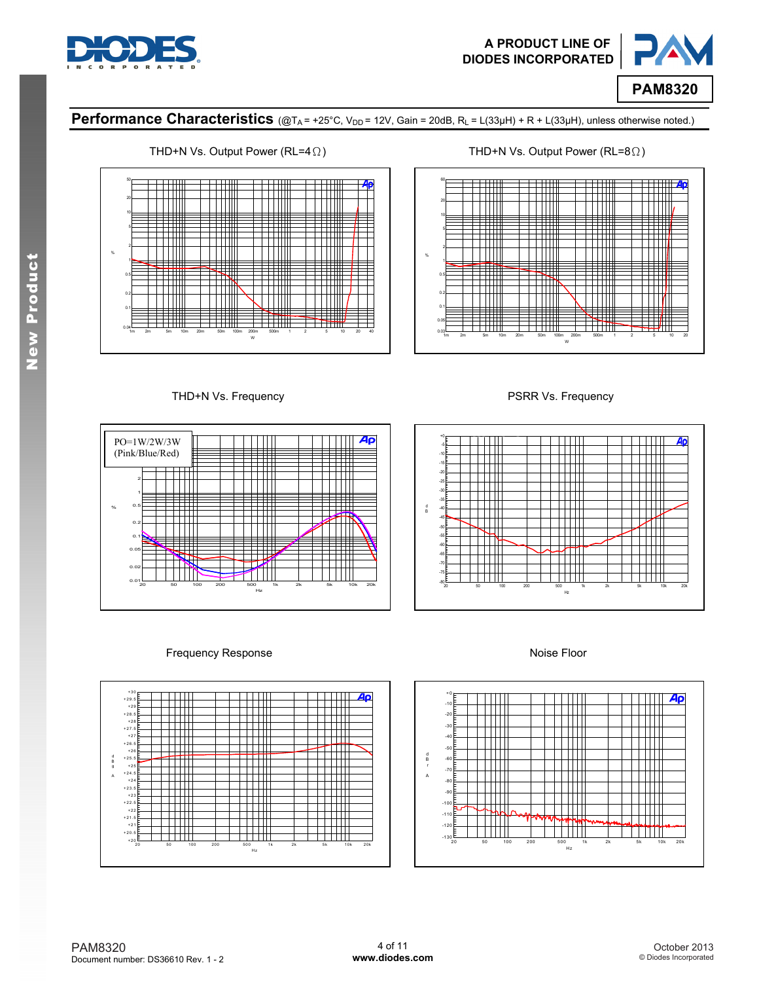



### Performance Characteristics (@T<sub>A</sub> = +25°C, V<sub>DD</sub> = 12V, Gain = 20dB, R<sub>L</sub> = L(33µH) + R + L(33µH), unless otherwise noted.)





THD+N Vs. Frequency **PSRR Vs. Frequency** 





#### Frequency Response **Noise Floor**



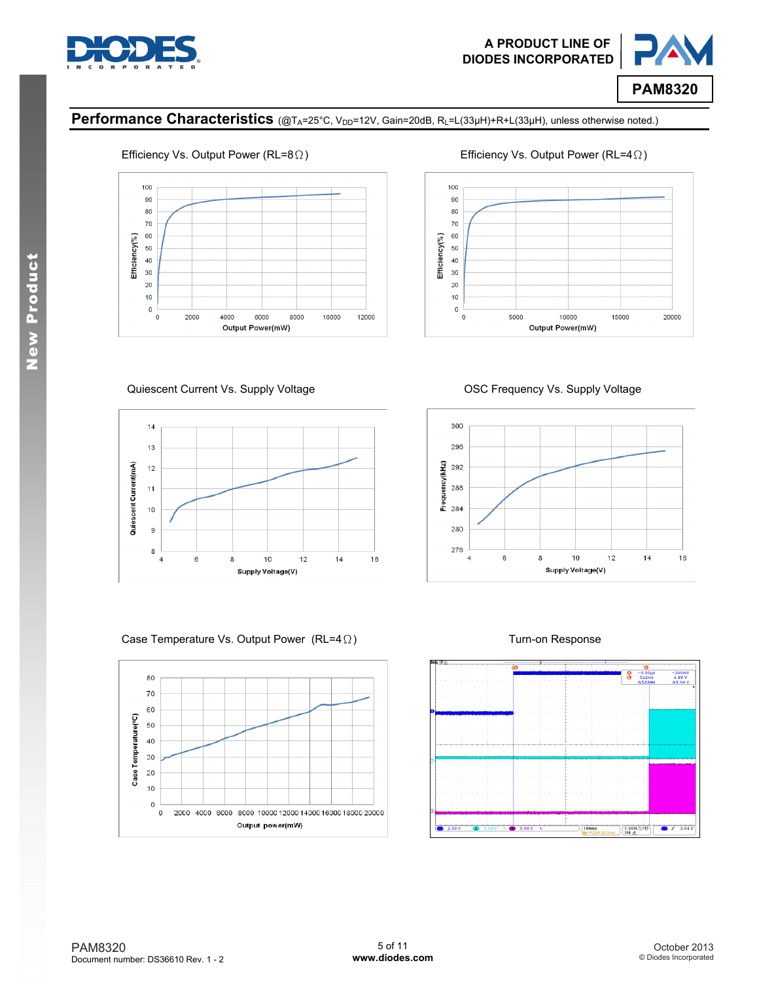



### Performance Characteristics (@TA=25°C, V<sub>DD</sub>=12V, Gain=20dB, RL=L(33µH)+R+L(33µH), unless otherwise noted.)



### Efficiency Vs. Output Power (RL=8Ω) Efficiency Vs. Output Power (RL=4Ω)



#### Quiescent Current Vs. Supply Voltage **OSC Frequency Vs. Supply Voltage** OSC Frequency Vs. Supply Voltage



Case Temperature Vs. Output Power (RL=4Ω) Turn-on Response





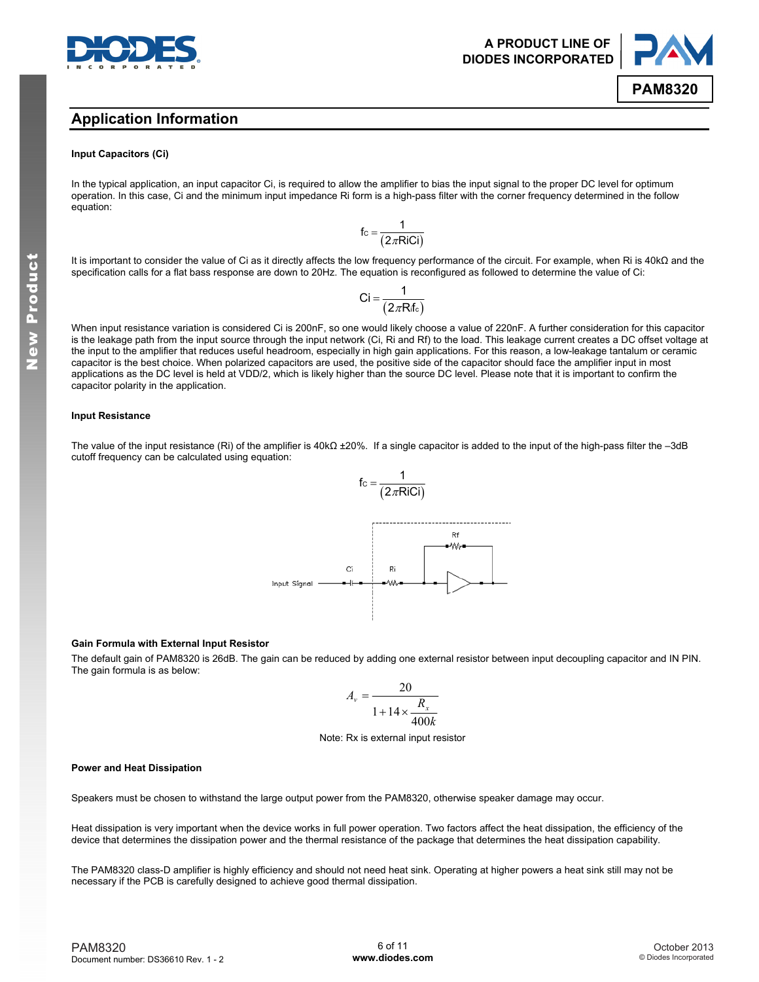

### **Application Information**

#### **Input Capacitors (Ci)**

In the typical application, an input capacitor Ci, is required to allow the amplifier to bias the input signal to the proper DC level for optimum operation. In this case, Ci and the minimum input impedance Ri form is a high-pass filter with the corner frequency determined in the follow equation:

$$
f_{C} = \frac{1}{(2\pi \text{RiCi})}
$$

It is important to consider the value of Ci as it directly affects the low frequency performance of the circuit. For example, when Ri is 40kΩ and the specification calls for a flat bass response are down to 20Hz. The equation is reconfigured as followed to determine the value of Ci:

$$
Ci = \frac{1}{(2\pi R_i f_c)}
$$

When input resistance variation is considered Ci is 200nF, so one would likely choose a value of 220nF. A further consideration for this capacitor is the leakage path from the input source through the input network (Ci, Ri and Rf) to the load. This leakage current creates a DC offset voltage at the input to the amplifier that reduces useful headroom, especially in high gain applications. For this reason, a low-leakage tantalum or ceramic capacitor is the best choice. When polarized capacitors are used, the positive side of the capacitor should face the amplifier input in most applications as the DC level is held at VDD/2, which is likely higher than the source DC level. Please note that it is important to confirm the capacitor polarity in the application.

#### **Input Resistance**

The value of the input resistance (Ri) of the amplifier is 40kΩ ±20%. If a single capacitor is added to the input of the high-pass filter the –3dB cutoff frequency can be calculated using equation:



#### **Gain Formula with External Input Resistor**

The default gain of PAM8320 is 26dB. The gain can be reduced by adding one external resistor between input decoupling capacitor and IN PIN. The gain formula is as below:

$$
A_v = \frac{20}{1 + 14 \times \frac{R_x}{400k}}
$$

#### Note: Rx is external input resistor

#### **Power and Heat Dissipation**

Speakers must be chosen to withstand the large output power from the PAM8320, otherwise speaker damage may occur.

Heat dissipation is very important when the device works in full power operation. Two factors affect the heat dissipation, the efficiency of the device that determines the dissipation power and the thermal resistance of the package that determines the heat dissipation capability.

The PAM8320 class-D amplifier is highly efficiency and should not need heat sink. Operating at higher powers a heat sink still may not be necessary if the PCB is carefully designed to achieve good thermal dissipation.

**A PRODUCT LINE OF DIODES INCORPORATED** 

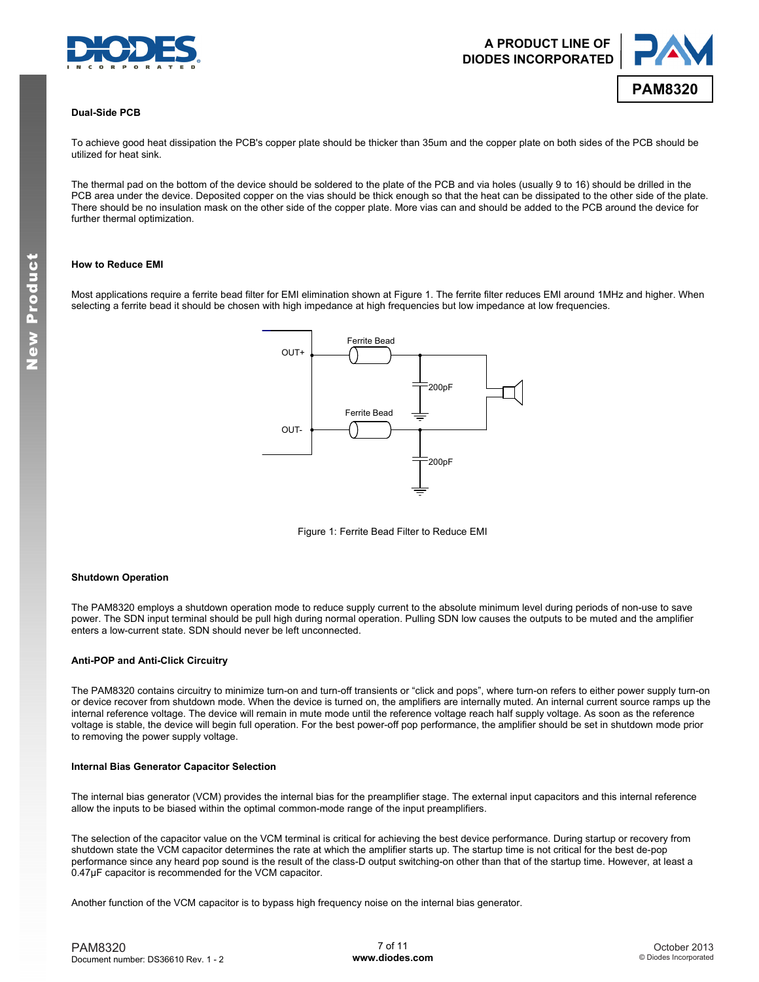



#### **Dual-Side PCB**

To achieve good heat dissipation the PCB's copper plate should be thicker than 35um and the copper plate on both sides of the PCB should be utilized for heat sink.

The thermal pad on the bottom of the device should be soldered to the plate of the PCB and via holes (usually 9 to 16) should be drilled in the PCB area under the device. Deposited copper on the vias should be thick enough so that the heat can be dissipated to the other side of the plate. There should be no insulation mask on the other side of the copper plate. More vias can and should be added to the PCB around the device for further thermal optimization.

#### **How to Reduce EMI**

Most applications require a ferrite bead filter for EMI elimination shown at Figure 1. The ferrite filter reduces EMI around 1MHz and higher. When selecting a ferrite bead it should be chosen with high impedance at high frequencies but low impedance at low frequencies.



Figure 1: Ferrite Bead Filter to Reduce EMI

#### **Shutdown Operation**

The PAM8320 employs a shutdown operation mode to reduce supply current to the absolute minimum level during periods of non-use to save power. The SDN input terminal should be pull high during normal operation. Pulling SDN low causes the outputs to be muted and the amplifier enters a low-current state. SDN should never be left unconnected.

#### **Anti-POP and Anti-Click Circuitry**

The PAM8320 contains circuitry to minimize turn-on and turn-off transients or "click and pops", where turn-on refers to either power supply turn-on or device recover from shutdown mode. When the device is turned on, the amplifiers are internally muted. An internal current source ramps up the internal reference voltage. The device will remain in mute mode until the reference voltage reach half supply voltage. As soon as the reference voltage is stable, the device will begin full operation. For the best power-off pop performance, the amplifier should be set in shutdown mode prior to removing the power supply voltage.

#### **Internal Bias Generator Capacitor Selection**

The internal bias generator (VCM) provides the internal bias for the preamplifier stage. The external input capacitors and this internal reference allow the inputs to be biased within the optimal common-mode range of the input preamplifiers.

The selection of the capacitor value on the VCM terminal is critical for achieving the best device performance. During startup or recovery from shutdown state the VCM capacitor determines the rate at which the amplifier starts up. The startup time is not critical for the best de-pop performance since any heard pop sound is the result of the class-D output switching-on other than that of the startup time. However, at least a 0.47µF capacitor is recommended for the VCM capacitor.

Another function of the VCM capacitor is to bypass high frequency noise on the internal bias generator.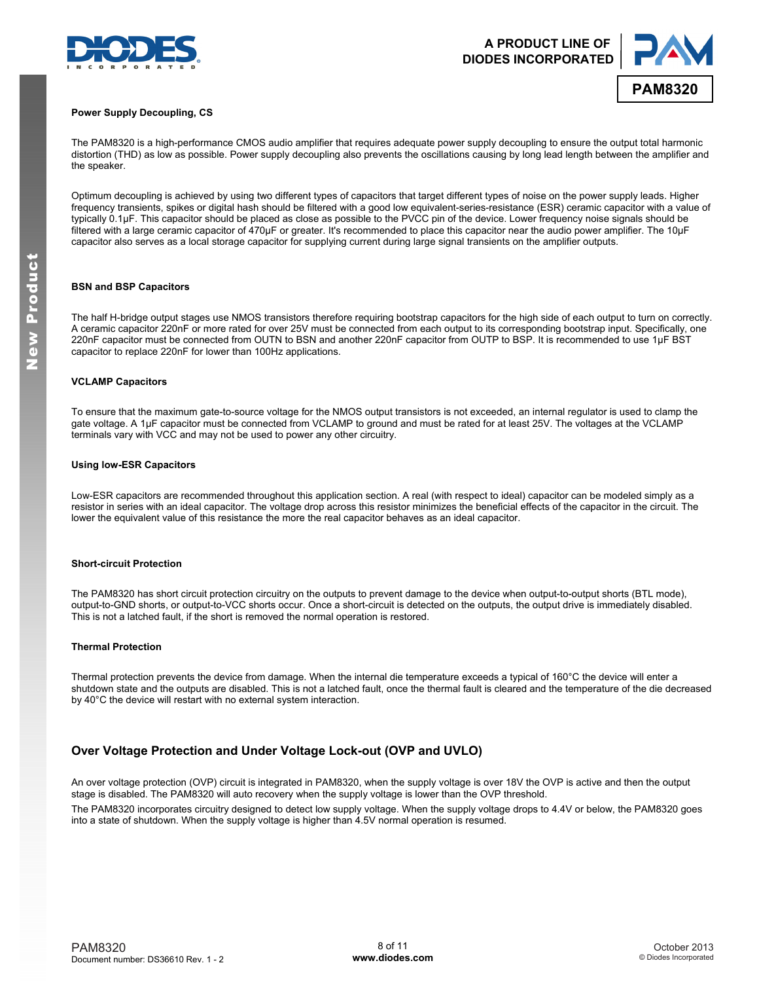



#### **Power Supply Decoupling, CS**

The PAM8320 is a high-performance CMOS audio amplifier that requires adequate power supply decoupling to ensure the output total harmonic distortion (THD) as low as possible. Power supply decoupling also prevents the oscillations causing by long lead length between the amplifier and the speaker.

Optimum decoupling is achieved by using two different types of capacitors that target different types of noise on the power supply leads. Higher frequency transients, spikes or digital hash should be filtered with a good low equivalent-series-resistance (ESR) ceramic capacitor with a value of typically 0.1μF. This capacitor should be placed as close as possible to the PVCC pin of the device. Lower frequency noise signals should be filtered with a large ceramic capacitor of 470μF or greater. It's recommended to place this capacitor near the audio power amplifier. The 10μF capacitor also serves as a local storage capacitor for supplying current during large signal transients on the amplifier outputs.

#### **BSN and BSP Capacitors**

The half H-bridge output stages use NMOS transistors therefore requiring bootstrap capacitors for the high side of each output to turn on correctly. A ceramic capacitor 220nF or more rated for over 25V must be connected from each output to its corresponding bootstrap input. Specifically, one 220nF capacitor must be connected from OUTN to BSN and another 220nF capacitor from OUTP to BSP. It is recommended to use 1μF BST capacitor to replace 220nF for lower than 100Hz applications.

#### **VCLAMP Capacitors**

To ensure that the maximum gate-to-source voltage for the NMOS output transistors is not exceeded, an internal regulator is used to clamp the gate voltage. A 1µF capacitor must be connected from VCLAMP to ground and must be rated for at least 25V. The voltages at the VCLAMP terminals vary with VCC and may not be used to power any other circuitry.

#### **Using low-ESR Capacitors**

Low-ESR capacitors are recommended throughout this application section. A real (with respect to ideal) capacitor can be modeled simply as a resistor in series with an ideal capacitor. The voltage drop across this resistor minimizes the beneficial effects of the capacitor in the circuit. The lower the equivalent value of this resistance the more the real capacitor behaves as an ideal capacitor.

#### **Short-circuit Protection**

The PAM8320 has short circuit protection circuitry on the outputs to prevent damage to the device when output-to-output shorts (BTL mode), output-to-GND shorts, or output-to-VCC shorts occur. Once a short-circuit is detected on the outputs, the output drive is immediately disabled. This is not a latched fault, if the short is removed the normal operation is restored.

#### **Thermal Protection**

Thermal protection prevents the device from damage. When the internal die temperature exceeds a typical of 160°C the device will enter a shutdown state and the outputs are disabled. This is not a latched fault, once the thermal fault is cleared and the temperature of the die decreased by 40°C the device will restart with no external system interaction.

### **Over Voltage Protection and Under Voltage Lock-out (OVP and UVLO)**

An over voltage protection (OVP) circuit is integrated in PAM8320, when the supply voltage is over 18V the OVP is active and then the output stage is disabled. The PAM8320 will auto recovery when the supply voltage is lower than the OVP threshold.

The PAM8320 incorporates circuitry designed to detect low supply voltage. When the supply voltage drops to 4.4V or below, the PAM8320 goes into a state of shutdown. When the supply voltage is higher than 4.5V normal operation is resumed.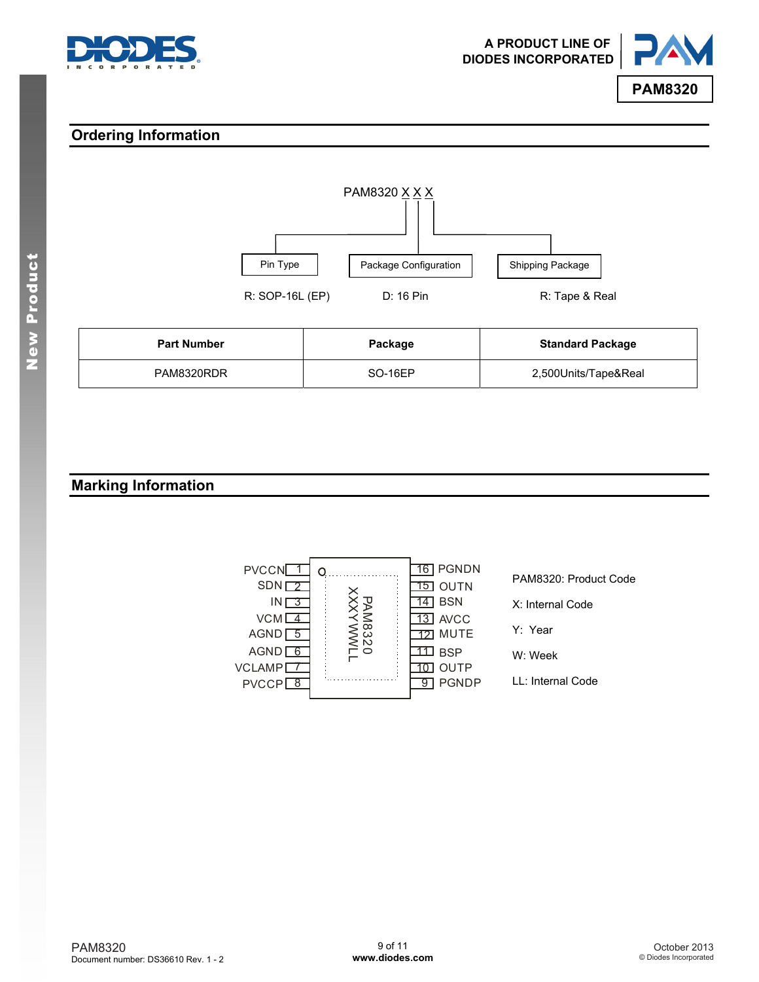



### **Ordering Information**



| <b>Part Number</b> | Package        | <b>Standard Package</b> |
|--------------------|----------------|-------------------------|
| PAM8320RDR         | <b>SO-16EP</b> | 2,500Units/Tape&Real    |

### **Marking Information**

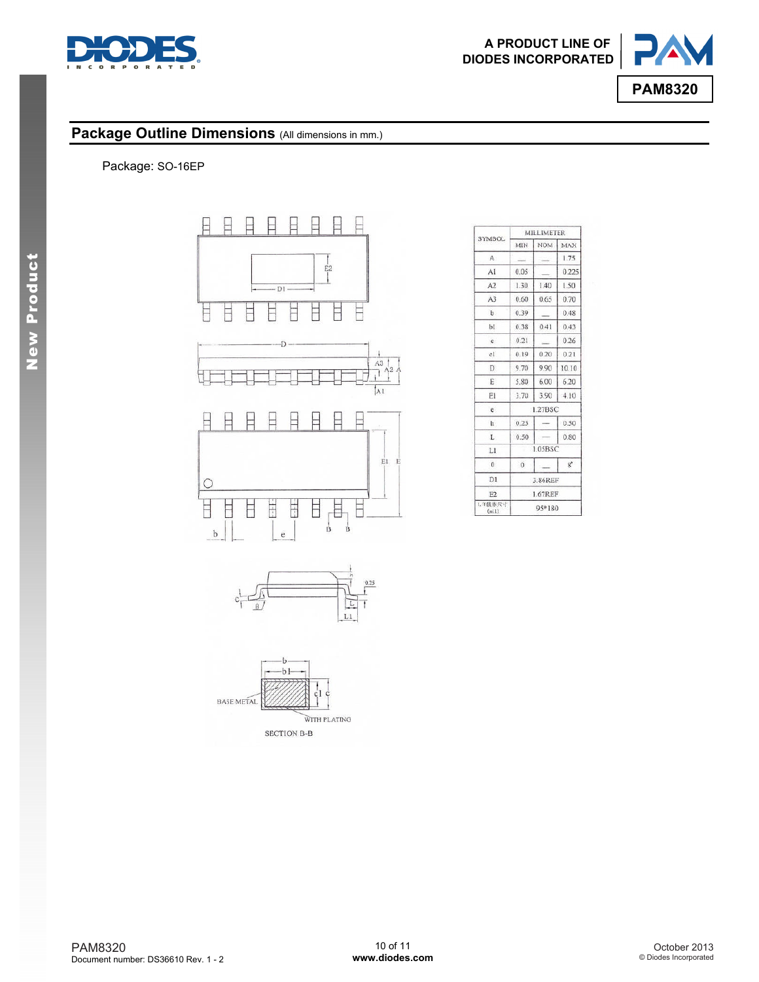



### Package Outline Dimensions (All dimensions in mm.)

### Package: SO-16EP







| SYMBOL           | <b>MILLIMETER</b> |            |                |  |
|------------------|-------------------|------------|----------------|--|
|                  | MIN               | <b>NOM</b> | MAX            |  |
| A                |                   |            | 1.75           |  |
| AI               | 0.05              |            | 0.225          |  |
| A2               | 1.30              | 1.40       | 1.50           |  |
| A <sub>3</sub>   | 0.60              | 0.65       | 0.70           |  |
| $\mathbf b$      | 0.39              |            | 0.48           |  |
| bi               | 0.38              | 0.41       | 0.43           |  |
| $\mathbf{c}$     | 0.21              |            | 0.26           |  |
| c1               | 0.19              | 0.20       | 0.21           |  |
| D                | 9.70              | 9.90       | 10.10          |  |
| Ē                | 5.80              | 6.00       | 6.20           |  |
| E1               | 3.70              | 3.90       | 4.10           |  |
| e                |                   | 1.27BSC    |                |  |
| h                | 0.25              |            | 0.50           |  |
| L                | 0.50              |            | 0.80           |  |
| LI               | 1.05BSC           |            |                |  |
| $\Omega$         | $\overline{0}$    |            | $\mathbf{g}^*$ |  |
| D1               | 3.86REF           |            |                |  |
| F <sub>2</sub>   |                   | 1.67REF    |                |  |
| L F获休尺寸<br>(n 1) | 95*180            |            |                |  |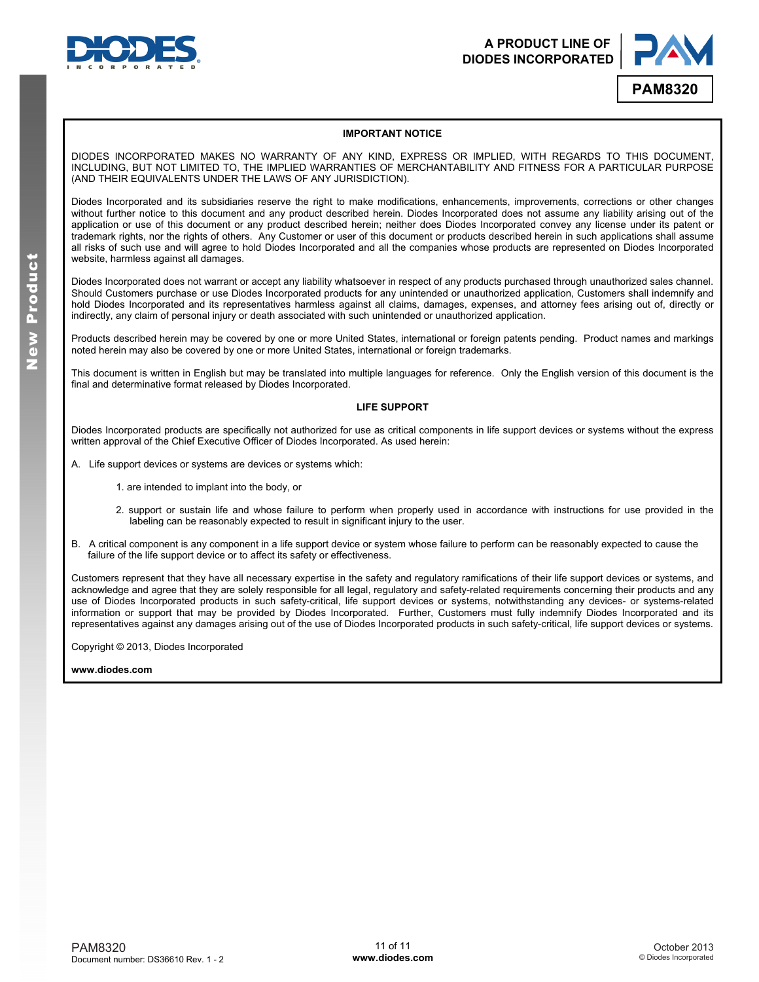



#### **IMPORTANT NOTICE**

DIODES INCORPORATED MAKES NO WARRANTY OF ANY KIND, EXPRESS OR IMPLIED, WITH REGARDS TO THIS DOCUMENT, INCLUDING, BUT NOT LIMITED TO, THE IMPLIED WARRANTIES OF MERCHANTABILITY AND FITNESS FOR A PARTICULAR PURPOSE (AND THEIR EQUIVALENTS UNDER THE LAWS OF ANY JURISDICTION).

Diodes Incorporated and its subsidiaries reserve the right to make modifications, enhancements, improvements, corrections or other changes without further notice to this document and any product described herein. Diodes Incorporated does not assume any liability arising out of the application or use of this document or any product described herein; neither does Diodes Incorporated convey any license under its patent or trademark rights, nor the rights of others. Any Customer or user of this document or products described herein in such applications shall assume all risks of such use and will agree to hold Diodes Incorporated and all the companies whose products are represented on Diodes Incorporated website, harmless against all damages.

Diodes Incorporated does not warrant or accept any liability whatsoever in respect of any products purchased through unauthorized sales channel. Should Customers purchase or use Diodes Incorporated products for any unintended or unauthorized application, Customers shall indemnify and hold Diodes Incorporated and its representatives harmless against all claims, damages, expenses, and attorney fees arising out of, directly or indirectly, any claim of personal injury or death associated with such unintended or unauthorized application.

Products described herein may be covered by one or more United States, international or foreign patents pending. Product names and markings noted herein may also be covered by one or more United States, international or foreign trademarks.

This document is written in English but may be translated into multiple languages for reference. Only the English version of this document is the final and determinative format released by Diodes Incorporated.

#### **LIFE SUPPORT**

Diodes Incorporated products are specifically not authorized for use as critical components in life support devices or systems without the express written approval of the Chief Executive Officer of Diodes Incorporated. As used herein:

- A. Life support devices or systems are devices or systems which:
	- 1. are intended to implant into the body, or
	- 2. support or sustain life and whose failure to perform when properly used in accordance with instructions for use provided in the labeling can be reasonably expected to result in significant injury to the user.
- B. A critical component is any component in a life support device or system whose failure to perform can be reasonably expected to cause the failure of the life support device or to affect its safety or effectiveness.

Customers represent that they have all necessary expertise in the safety and regulatory ramifications of their life support devices or systems, and acknowledge and agree that they are solely responsible for all legal, regulatory and safety-related requirements concerning their products and any use of Diodes Incorporated products in such safety-critical, life support devices or systems, notwithstanding any devices- or systems-related information or support that may be provided by Diodes Incorporated. Further, Customers must fully indemnify Diodes Incorporated and its representatives against any damages arising out of the use of Diodes Incorporated products in such safety-critical, life support devices or systems.

Copyright © 2013, Diodes Incorporated

#### **[www.diodes.com](http://www.diodes.com)**